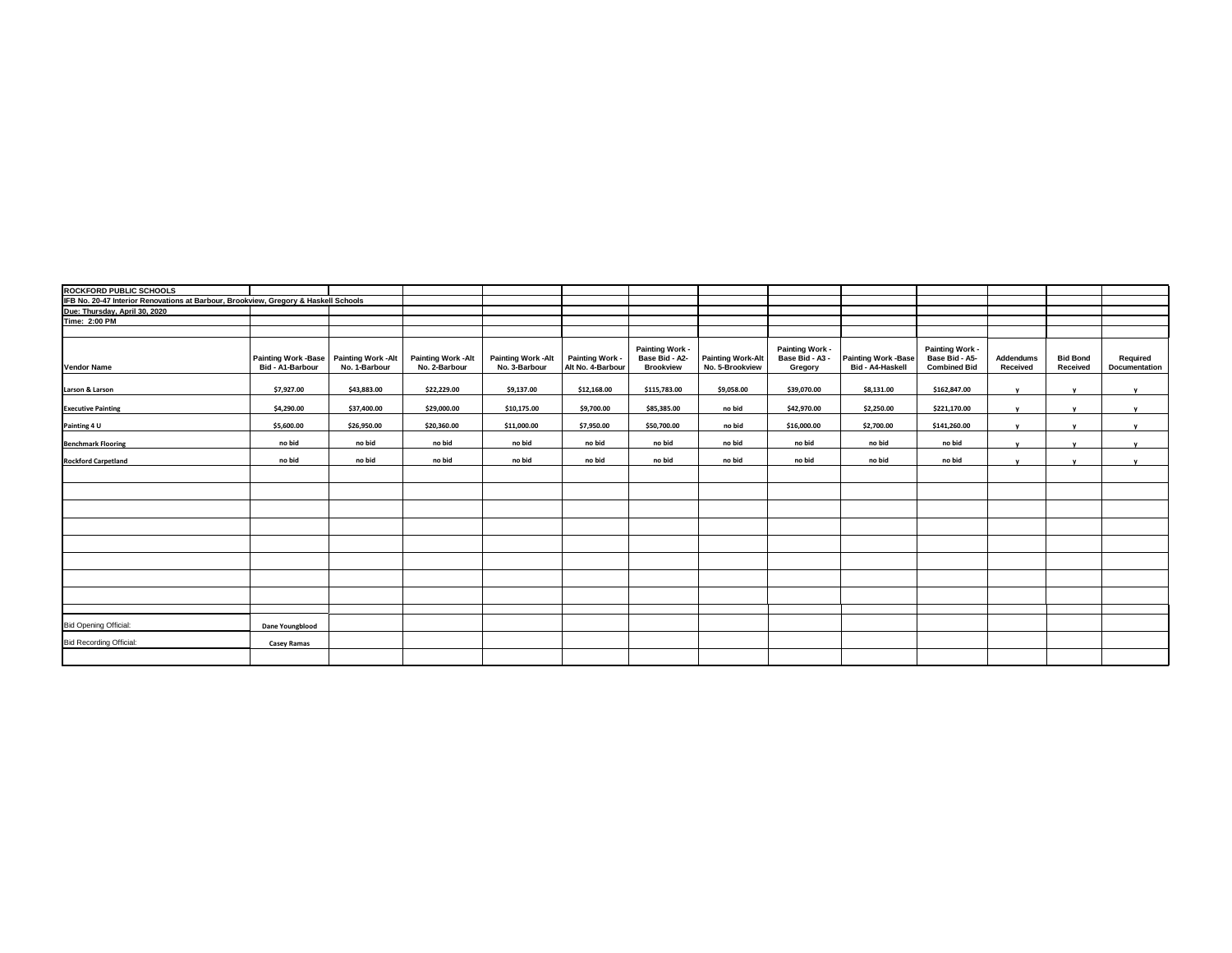| ROCKFORD PUBLIC SCHOOLS                                                             |                                                              |               |                                             |                                           |                                      |                                                              |                                             |                                               |                                                |                                                          |                       |                             |                           |
|-------------------------------------------------------------------------------------|--------------------------------------------------------------|---------------|---------------------------------------------|-------------------------------------------|--------------------------------------|--------------------------------------------------------------|---------------------------------------------|-----------------------------------------------|------------------------------------------------|----------------------------------------------------------|-----------------------|-----------------------------|---------------------------|
| IFB No. 20-47 Interior Renovations at Barbour, Brookview, Gregory & Haskell Schools |                                                              |               |                                             |                                           |                                      |                                                              |                                             |                                               |                                                |                                                          |                       |                             |                           |
| Due: Thursday, April 30, 2020<br>Time: 2:00 PM                                      |                                                              |               |                                             |                                           |                                      |                                                              |                                             |                                               |                                                |                                                          |                       |                             |                           |
|                                                                                     |                                                              |               |                                             |                                           |                                      |                                                              |                                             |                                               |                                                |                                                          |                       |                             |                           |
|                                                                                     |                                                              |               |                                             |                                           |                                      |                                                              |                                             |                                               |                                                |                                                          |                       |                             |                           |
| <b>Vendor Name</b>                                                                  | Painting Work - Base Painting Work - Alt<br>Bid - A1-Barbour | No. 1-Barbour | <b>Painting Work - Alt</b><br>No. 2-Barbour | <b>Painting Work-Alt</b><br>No. 3-Barbour | Painting Work -<br>Alt No. 4-Barbour | <b>Painting Work -</b><br>Base Bid - A2-<br><b>Brookview</b> | <b>Painting Work-Alt</b><br>No. 5-Brookview | Painting Work -<br>Base Bid - A3 -<br>Gregory | <b>Painting Work -Base</b><br>Bid - A4-Haskell | Painting Work -<br>Base Bid - A5-<br><b>Combined Bid</b> | Addendums<br>Received | <b>Bid Bond</b><br>Received | Required<br>Documentation |
| Larson & Larson                                                                     | \$7,927.00                                                   | \$43,883.00   | \$22,229.00                                 | \$9,137.00                                | \$12,168.00                          | \$115,783.00                                                 | \$9,058.00                                  | \$39,070.00                                   | \$8,131.00                                     | \$162,847.00                                             |                       |                             | $\mathbf{v}$              |
| <b>Executive Painting</b>                                                           | \$4,290.00                                                   | \$37,400.00   | \$29,000.00                                 | \$10,175.00                               | \$9,700.00                           | \$85,385.00                                                  | no bid                                      | \$42,970.00                                   | \$2,250.00                                     | \$221,170.00                                             | $\mathbf{v}$          | <b>v</b>                    | $\mathbf{v}$              |
| Painting 4 U                                                                        | \$5,600.00                                                   | \$26,950.00   | \$20,360.00                                 | \$11,000.00                               | \$7,950.00                           | \$50,700.00                                                  | no bid                                      | \$16,000.00                                   | \$2,700.00                                     | \$141,260.00                                             |                       |                             |                           |
| <b>Benchmark Flooring</b>                                                           | no bid                                                       | no bid        | no bid                                      | no bid                                    | no bid                               | no bid                                                       | no bid                                      | no bid                                        | no bid                                         | no bid                                                   |                       |                             |                           |
| <b>Rockford Carpetland</b>                                                          | no bid                                                       | no bid        | no bid                                      | no bid                                    | no bid                               | no bid                                                       | no bid                                      | no bid                                        | no bid                                         | no bid                                                   |                       | $\mathbf{v}$                | $\mathbf{v}$              |
|                                                                                     |                                                              |               |                                             |                                           |                                      |                                                              |                                             |                                               |                                                |                                                          |                       |                             |                           |
|                                                                                     |                                                              |               |                                             |                                           |                                      |                                                              |                                             |                                               |                                                |                                                          |                       |                             |                           |
|                                                                                     |                                                              |               |                                             |                                           |                                      |                                                              |                                             |                                               |                                                |                                                          |                       |                             |                           |
|                                                                                     |                                                              |               |                                             |                                           |                                      |                                                              |                                             |                                               |                                                |                                                          |                       |                             |                           |
|                                                                                     |                                                              |               |                                             |                                           |                                      |                                                              |                                             |                                               |                                                |                                                          |                       |                             |                           |
|                                                                                     |                                                              |               |                                             |                                           |                                      |                                                              |                                             |                                               |                                                |                                                          |                       |                             |                           |
|                                                                                     |                                                              |               |                                             |                                           |                                      |                                                              |                                             |                                               |                                                |                                                          |                       |                             |                           |
|                                                                                     |                                                              |               |                                             |                                           |                                      |                                                              |                                             |                                               |                                                |                                                          |                       |                             |                           |
|                                                                                     |                                                              |               |                                             |                                           |                                      |                                                              |                                             |                                               |                                                |                                                          |                       |                             |                           |
| <b>Bid Opening Official:</b>                                                        | Dane Youngblood                                              |               |                                             |                                           |                                      |                                                              |                                             |                                               |                                                |                                                          |                       |                             |                           |
| <b>Bid Recording Official:</b>                                                      | Casey Ramas                                                  |               |                                             |                                           |                                      |                                                              |                                             |                                               |                                                |                                                          |                       |                             |                           |
|                                                                                     |                                                              |               |                                             |                                           |                                      |                                                              |                                             |                                               |                                                |                                                          |                       |                             |                           |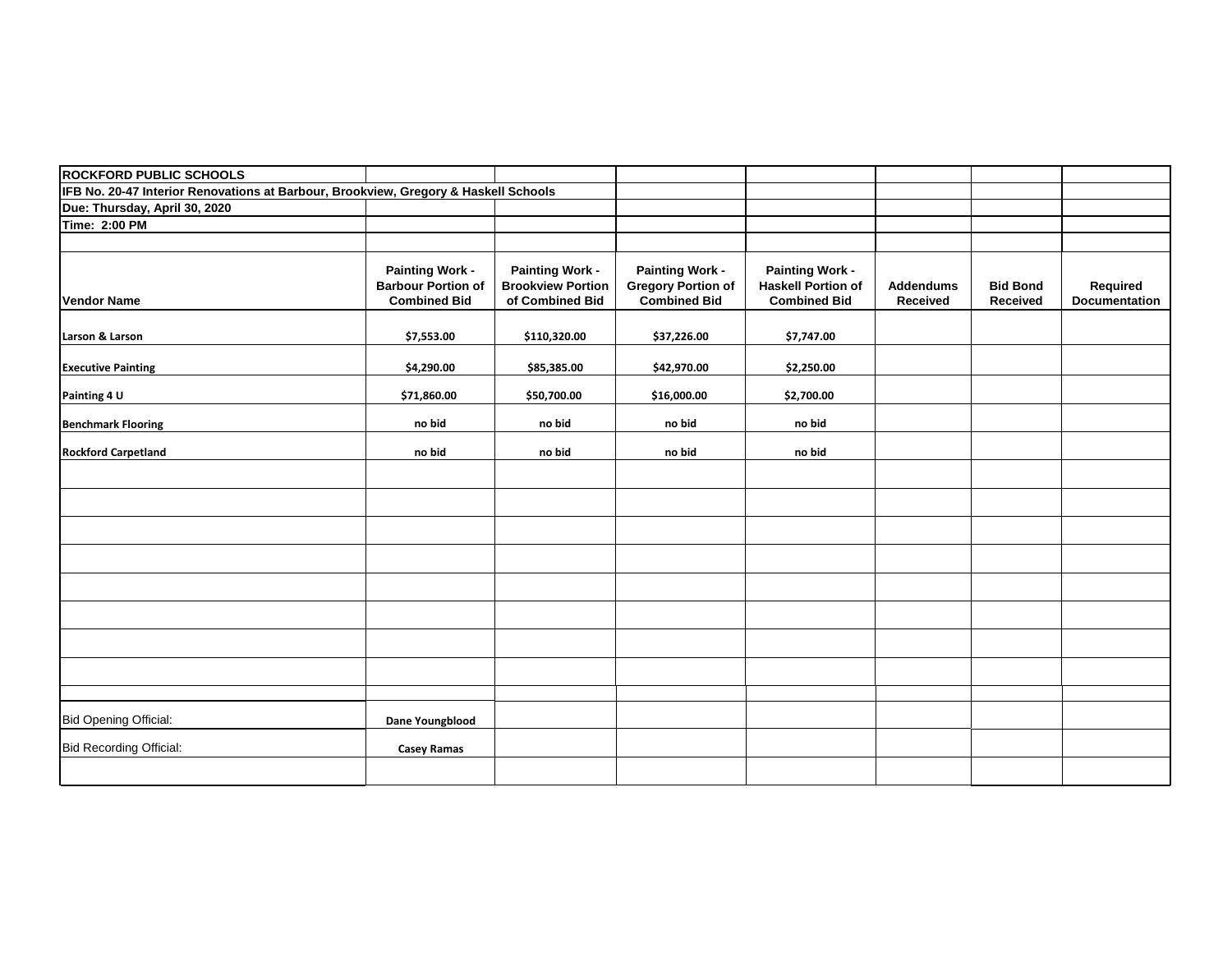| <b>ROCKFORD PUBLIC SCHOOLS</b>                                                      |                                                                            |                                                                       |                                                                            |                                                                            |                              |                             |                                  |
|-------------------------------------------------------------------------------------|----------------------------------------------------------------------------|-----------------------------------------------------------------------|----------------------------------------------------------------------------|----------------------------------------------------------------------------|------------------------------|-----------------------------|----------------------------------|
| IFB No. 20-47 Interior Renovations at Barbour, Brookview, Gregory & Haskell Schools |                                                                            |                                                                       |                                                                            |                                                                            |                              |                             |                                  |
| Due: Thursday, April 30, 2020                                                       |                                                                            |                                                                       |                                                                            |                                                                            |                              |                             |                                  |
| Time: 2:00 PM                                                                       |                                                                            |                                                                       |                                                                            |                                                                            |                              |                             |                                  |
|                                                                                     |                                                                            |                                                                       |                                                                            |                                                                            |                              |                             |                                  |
| <b>Vendor Name</b>                                                                  | <b>Painting Work -</b><br><b>Barbour Portion of</b><br><b>Combined Bid</b> | <b>Painting Work -</b><br><b>Brookview Portion</b><br>of Combined Bid | <b>Painting Work -</b><br><b>Gregory Portion of</b><br><b>Combined Bid</b> | <b>Painting Work -</b><br><b>Haskell Portion of</b><br><b>Combined Bid</b> | <b>Addendums</b><br>Received | <b>Bid Bond</b><br>Received | Required<br><b>Documentation</b> |
| Larson & Larson                                                                     | \$7,553.00                                                                 | \$110,320.00                                                          | \$37,226.00                                                                | \$7,747.00                                                                 |                              |                             |                                  |
| <b>Executive Painting</b>                                                           | \$4,290.00                                                                 | \$85,385.00                                                           | \$42,970.00                                                                | \$2,250.00                                                                 |                              |                             |                                  |
| Painting 4 U                                                                        | \$71,860.00                                                                | \$50,700.00                                                           | \$16,000.00                                                                | \$2,700.00                                                                 |                              |                             |                                  |
| <b>Benchmark Flooring</b>                                                           | no bid                                                                     | no bid                                                                | no bid                                                                     | no bid                                                                     |                              |                             |                                  |
| <b>Rockford Carpetland</b>                                                          | no bid                                                                     | no bid                                                                | no bid                                                                     | no bid                                                                     |                              |                             |                                  |
|                                                                                     |                                                                            |                                                                       |                                                                            |                                                                            |                              |                             |                                  |
|                                                                                     |                                                                            |                                                                       |                                                                            |                                                                            |                              |                             |                                  |
|                                                                                     |                                                                            |                                                                       |                                                                            |                                                                            |                              |                             |                                  |
|                                                                                     |                                                                            |                                                                       |                                                                            |                                                                            |                              |                             |                                  |
|                                                                                     |                                                                            |                                                                       |                                                                            |                                                                            |                              |                             |                                  |
|                                                                                     |                                                                            |                                                                       |                                                                            |                                                                            |                              |                             |                                  |
|                                                                                     |                                                                            |                                                                       |                                                                            |                                                                            |                              |                             |                                  |
|                                                                                     |                                                                            |                                                                       |                                                                            |                                                                            |                              |                             |                                  |
| <b>Bid Opening Official:</b>                                                        | Dane Youngblood                                                            |                                                                       |                                                                            |                                                                            |                              |                             |                                  |
| <b>Bid Recording Official:</b>                                                      | <b>Casey Ramas</b>                                                         |                                                                       |                                                                            |                                                                            |                              |                             |                                  |
|                                                                                     |                                                                            |                                                                       |                                                                            |                                                                            |                              |                             |                                  |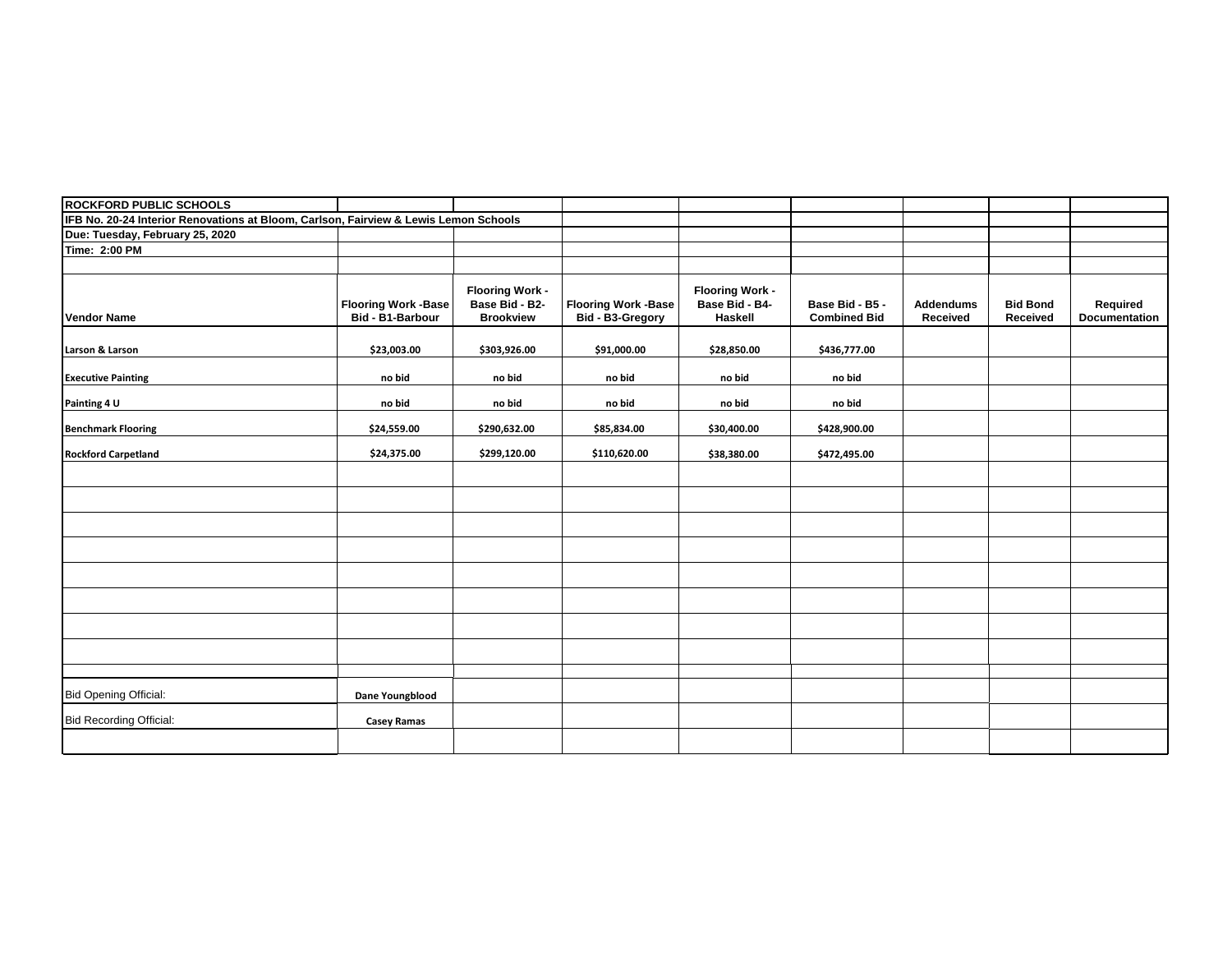| <b>ROCKFORD PUBLIC SCHOOLS</b>                                                       |                                                |                                                              |                                                |                                                     |                                        |                              |                             |                           |
|--------------------------------------------------------------------------------------|------------------------------------------------|--------------------------------------------------------------|------------------------------------------------|-----------------------------------------------------|----------------------------------------|------------------------------|-----------------------------|---------------------------|
| IFB No. 20-24 Interior Renovations at Bloom, Carlson, Fairview & Lewis Lemon Schools |                                                |                                                              |                                                |                                                     |                                        |                              |                             |                           |
| Due: Tuesday, February 25, 2020                                                      |                                                |                                                              |                                                |                                                     |                                        |                              |                             |                           |
| <b>Time: 2:00 PM</b>                                                                 |                                                |                                                              |                                                |                                                     |                                        |                              |                             |                           |
|                                                                                      |                                                |                                                              |                                                |                                                     |                                        |                              |                             |                           |
| <b>Vendor Name</b>                                                                   | <b>Flooring Work -Base</b><br>Bid - B1-Barbour | <b>Flooring Work -</b><br>Base Bid - B2-<br><b>Brookview</b> | <b>Flooring Work -Base</b><br>Bid - B3-Gregory | <b>Flooring Work -</b><br>Base Bid - B4-<br>Haskell | Base Bid - B5 -<br><b>Combined Bid</b> | <b>Addendums</b><br>Received | <b>Bid Bond</b><br>Received | Required<br>Documentation |
| Larson & Larson                                                                      | \$23,003.00                                    | \$303,926.00                                                 | \$91,000.00                                    | \$28,850.00                                         | \$436,777.00                           |                              |                             |                           |
| <b>Executive Painting</b>                                                            | no bid                                         | no bid                                                       | no bid                                         | no bid                                              | no bid                                 |                              |                             |                           |
| Painting 4 U                                                                         | no bid                                         | no bid                                                       | no bid                                         | no bid                                              | no bid                                 |                              |                             |                           |
| <b>Benchmark Flooring</b>                                                            | \$24,559.00                                    | \$290,632.00                                                 | \$85,834.00                                    | \$30,400.00                                         | \$428,900.00                           |                              |                             |                           |
| <b>Rockford Carpetland</b>                                                           | \$24,375.00                                    | \$299,120.00                                                 | \$110,620.00                                   | \$38,380.00                                         | \$472,495.00                           |                              |                             |                           |
|                                                                                      |                                                |                                                              |                                                |                                                     |                                        |                              |                             |                           |
|                                                                                      |                                                |                                                              |                                                |                                                     |                                        |                              |                             |                           |
|                                                                                      |                                                |                                                              |                                                |                                                     |                                        |                              |                             |                           |
|                                                                                      |                                                |                                                              |                                                |                                                     |                                        |                              |                             |                           |
|                                                                                      |                                                |                                                              |                                                |                                                     |                                        |                              |                             |                           |
|                                                                                      |                                                |                                                              |                                                |                                                     |                                        |                              |                             |                           |
|                                                                                      |                                                |                                                              |                                                |                                                     |                                        |                              |                             |                           |
|                                                                                      |                                                |                                                              |                                                |                                                     |                                        |                              |                             |                           |
|                                                                                      |                                                |                                                              |                                                |                                                     |                                        |                              |                             |                           |
| <b>Bid Opening Official:</b>                                                         | Dane Youngblood                                |                                                              |                                                |                                                     |                                        |                              |                             |                           |
| <b>Bid Recording Official:</b>                                                       | <b>Casey Ramas</b>                             |                                                              |                                                |                                                     |                                        |                              |                             |                           |
|                                                                                      |                                                |                                                              |                                                |                                                     |                                        |                              |                             |                           |